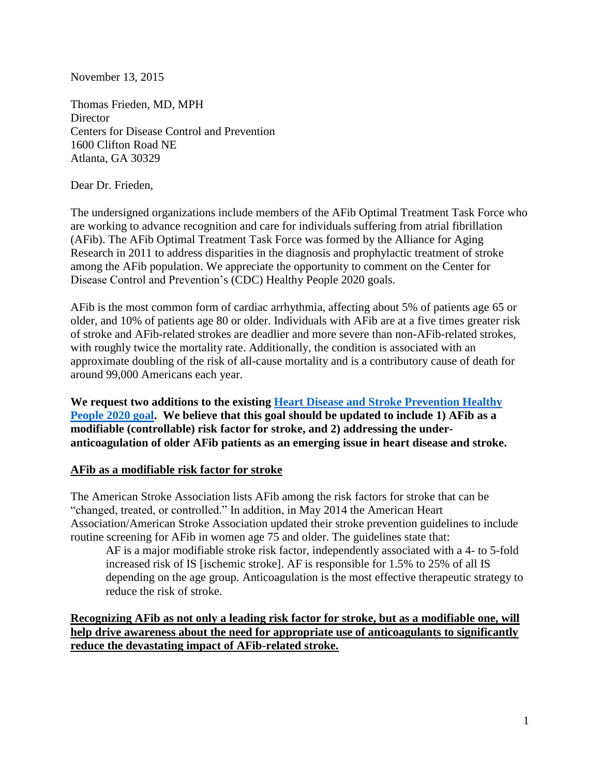November 13, 2015

Thomas Frieden, MD, MPH **Director** Centers for Disease Control and Prevention 1600 Clifton Road NE Atlanta, GA 30329

Dear Dr. Frieden,

The undersigned organizations include members of the AFib Optimal Treatment Task Force who are working to advance recognition and care for individuals suffering from atrial fibrillation (AFib). The AFib Optimal Treatment Task Force was formed by the Alliance for Aging Research in 2011 to address disparities in the diagnosis and prophylactic treatment of stroke among the AFib population. We appreciate the opportunity to comment on the Center for Disease Control and Prevention's (CDC) Healthy People 2020 goals.

AFib is the most common form of cardiac arrhythmia, affecting about 5% of patients age 65 or older, and 10% of patients age 80 or older. Individuals with AFib are at a five times greater risk of stroke and AFib-related strokes are deadlier and more severe than non-AFib-related strokes, with roughly twice the mortality rate. Additionally, the condition is associated with an approximate doubling of the risk of all-cause mortality and is a contributory cause of death for around 99,000 Americans each year.

**We request two additions to the existing [Heart Disease and Stroke Prevention Healthy](http://www.healthypeople.gov/2020/topics-objectives/topic/heart-disease-and-stroke)  [People 2020 goal.](http://www.healthypeople.gov/2020/topics-objectives/topic/heart-disease-and-stroke) We believe that this goal should be updated to include 1) AFib as a modifiable (controllable) risk factor for stroke, and 2) addressing the underanticoagulation of older AFib patients as an emerging issue in heart disease and stroke.**

## **AFib as a modifiable risk factor for stroke**

The American Stroke Association lists AFib among the risk factors for stroke that can be "changed, treated, or controlled." In addition, in May 2014 the American Heart Association/American Stroke Association updated their stroke prevention guidelines to include routine screening for AFib in women age 75 and older. The guidelines state that:

AF is a major modifiable stroke risk factor, independently associated with a 4- to 5-fold increased risk of IS [ischemic stroke]. AF is responsible for 1.5% to 25% of all IS depending on the age group. Anticoagulation is the most effective therapeutic strategy to reduce the risk of stroke.

**Recognizing AFib as not only a leading risk factor for stroke, but as a modifiable one, will help drive awareness about the need for appropriate use of anticoagulants to significantly reduce the devastating impact of AFib-related stroke.**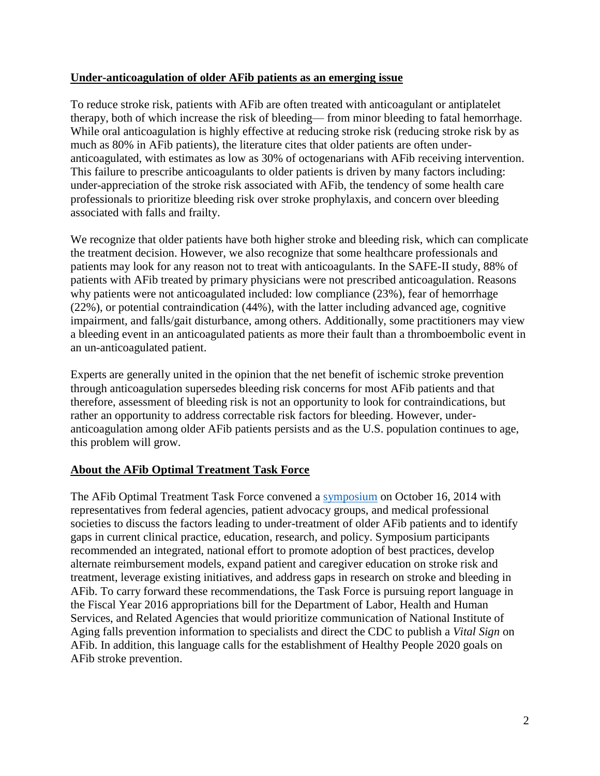## **Under-anticoagulation of older AFib patients as an emerging issue**

To reduce stroke risk, patients with AFib are often treated with anticoagulant or antiplatelet therapy, both of which increase the risk of bleeding— from minor bleeding to fatal hemorrhage. While oral anticoagulation is highly effective at reducing stroke risk (reducing stroke risk by as much as 80% in AFib patients), the literature cites that older patients are often underanticoagulated, with estimates as low as 30% of octogenarians with AFib receiving intervention. This failure to prescribe anticoagulants to older patients is driven by many factors including: under-appreciation of the stroke risk associated with AFib, the tendency of some health care professionals to prioritize bleeding risk over stroke prophylaxis, and concern over bleeding associated with falls and frailty.

We recognize that older patients have both higher stroke and bleeding risk, which can complicate the treatment decision. However, we also recognize that some healthcare professionals and patients may look for any reason not to treat with anticoagulants. In the SAFE-II study, 88% of patients with AFib treated by primary physicians were not prescribed anticoagulation. Reasons why patients were not anticoagulated included: low compliance  $(23%)$ , fear of hemorrhage (22%), or potential contraindication (44%), with the latter including advanced age, cognitive impairment, and falls/gait disturbance, among others. Additionally, some practitioners may view a bleeding event in an anticoagulated patients as more their fault than a thromboembolic event in an un-anticoagulated patient.

Experts are generally united in the opinion that the net benefit of ischemic stroke prevention through anticoagulation supersedes bleeding risk concerns for most AFib patients and that therefore, assessment of bleeding risk is not an opportunity to look for contraindications, but rather an opportunity to address correctable risk factors for bleeding. However, underanticoagulation among older AFib patients persists and as the U.S. population continues to age, this problem will grow.

## **About the AFib Optimal Treatment Task Force**

The AFib Optimal Treatment Task Force convened a [symposium](http://www.agingresearch.org/publications/view/126#.Vbfn7o3JA-4) on October 16, 2014 with representatives from federal agencies, patient advocacy groups, and medical professional societies to discuss the factors leading to under-treatment of older AFib patients and to identify gaps in current clinical practice, education, research, and policy. Symposium participants recommended an integrated, national effort to promote adoption of best practices, develop alternate reimbursement models, expand patient and caregiver education on stroke risk and treatment, leverage existing initiatives, and address gaps in research on stroke and bleeding in AFib. To carry forward these recommendations, the Task Force is pursuing report language in the Fiscal Year 2016 appropriations bill for the Department of Labor, Health and Human Services, and Related Agencies that would prioritize communication of National Institute of Aging falls prevention information to specialists and direct the CDC to publish a *Vital Sign* on AFib. In addition, this language calls for the establishment of Healthy People 2020 goals on AFib stroke prevention.